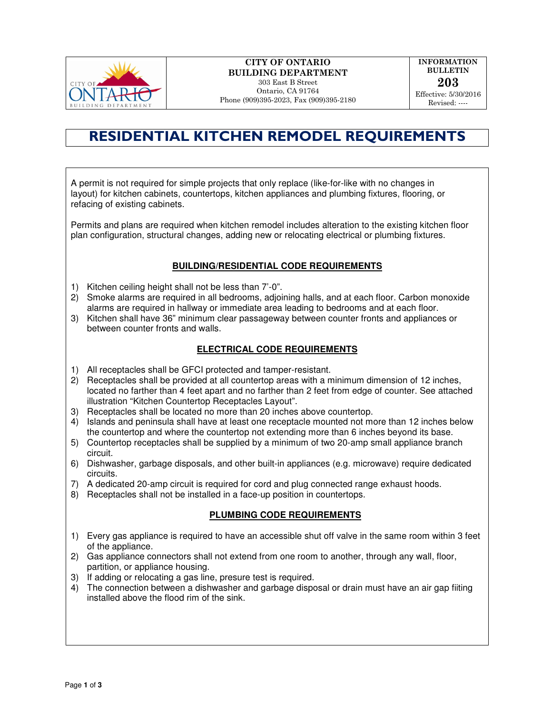

# CITY OF ONTARIO BUILDING DEPARTMENT 303 East B Street

Ontario, CA 91764 Phone (909)395-2023, Fax (909)395-2180

INFORMATION BULLETIN 203 Effective: 5/30/2016 Revised: ----

# RESIDENTIAL KITCHEN REMODEL REQUIREMENTS

A permit is not required for simple projects that only replace (like-for-like with no changes in layout) for kitchen cabinets, countertops, kitchen appliances and plumbing fixtures, flooring, or refacing of existing cabinets.

Permits and plans are required when kitchen remodel includes alteration to the existing kitchen floor plan configuration, structural changes, adding new or relocating electrical or plumbing fixtures.

# **BUILDING/RESIDENTIAL CODE REQUIREMENTS**

- 1) Kitchen ceiling height shall not be less than 7'-0".
- 2) Smoke alarms are required in all bedrooms, adjoining halls, and at each floor. Carbon monoxide alarms are required in hallway or immediate area leading to bedrooms and at each floor.
- 3) Kitchen shall have 36" minimum clear passageway between counter fronts and appliances or between counter fronts and walls.

# **ELECTRICAL CODE REQUIREMENTS**

- 1) All receptacles shall be GFCI protected and tamper-resistant.
- 2) Receptacles shall be provided at all countertop areas with a minimum dimension of 12 inches, located no farther than 4 feet apart and no farther than 2 feet from edge of counter. See attached illustration "Kitchen Countertop Receptacles Layout".
- 3) Receptacles shall be located no more than 20 inches above countertop.
- 4) Islands and peninsula shall have at least one receptacle mounted not more than 12 inches below the countertop and where the countertop not extending more than 6 inches beyond its base.
- 5) Countertop receptacles shall be supplied by a minimum of two 20-amp small appliance branch circuit.
- 6) Dishwasher, garbage disposals, and other built-in appliances (e.g. microwave) require dedicated circuits.
- 7) A dedicated 20-amp circuit is required for cord and plug connected range exhaust hoods.
- 8) Receptacles shall not be installed in a face-up position in countertops.

## **PLUMBING CODE REQUIREMENTS**

- 1) Every gas appliance is required to have an accessible shut off valve in the same room within 3 feet of the appliance.
- 2) Gas appliance connectors shall not extend from one room to another, through any wall, floor, partition, or appliance housing.
- 3) If adding or relocating a gas line, presure test is required.
- 4) The connection between a dishwasher and garbage disposal or drain must have an air gap fiiting installed above the flood rim of the sink.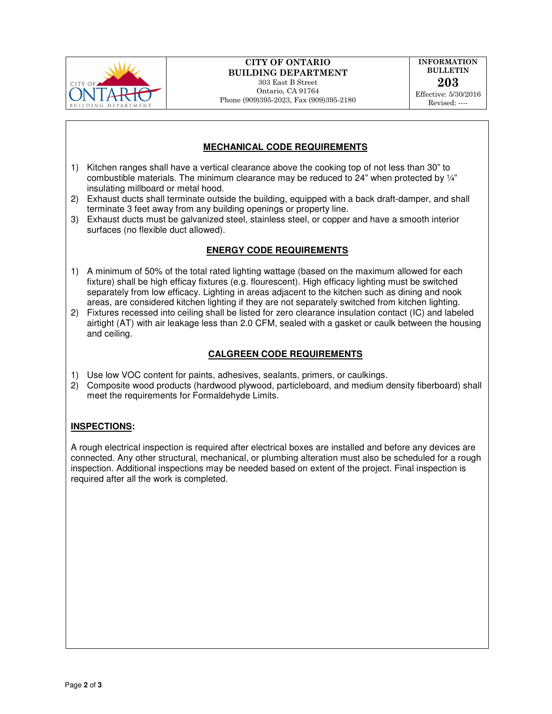

# CITY OF ONTARIO BUILDING DEPARTMENT

303 East B Street Ontario, CA 91764 Phone (909)395-2023, Fax (909)395-2180

INFORMATION BULLETIN 203 Effective: 5/30/2016 Revised: ----

# **MECHANICAL CODE REQUIREMENTS**

- 1) Kitchen ranges shall have a vertical clearance above the cooking top of not less than 30" to combustible materials. The minimum clearance may be reduced to  $24$ " when protected by  $\frac{1}{4}$ " insulating millboard or metal hood.
- 2) Exhaust ducts shall terminate outside the building, equipped with a back draft-damper, and shall terminate 3 feet away from any building openings or property line.
- 3) Exhaust ducts must be galvanized steel, stainless steel, or copper and have a smooth interior surfaces (no flexible duct allowed).

## **ENERGY CODE REQUIREMENTS**

- 1) A minimum of 50% of the total rated lighting wattage (based on the maximum allowed for each fixture) shall be high efficay fixtures (e.g. flourescent). High efficacy lighting must be switched separately from low efficacy. Lighting in areas adjacent to the kitchen such as dining and nook areas, are considered kitchen lighting if they are not separately switched from kitchen lighting.
- 2) Fixtures recessed into ceiling shall be listed for zero clearance insulation contact (IC) and labeled airtight (AT) with air leakage less than 2.0 CFM, sealed with a gasket or caulk between the housing and ceiling.

# **CALGREEN CODE REQUIREMENTS**

- 1) Use low VOC content for paints, adhesives, sealants, primers, or caulkings.
- 2) Composite wood products (hardwood plywood, particleboard, and medium density fiberboard) shall meet the requirements for Formaldehyde Limits.

## **INSPECTIONS:**

A rough electrical inspection is required after electrical boxes are installed and before any devices are connected. Any other structural, mechanical, or plumbing alteration must also be scheduled for a rough inspection. Additional inspections may be needed based on extent of the project. Final inspection is required after all the work is completed.